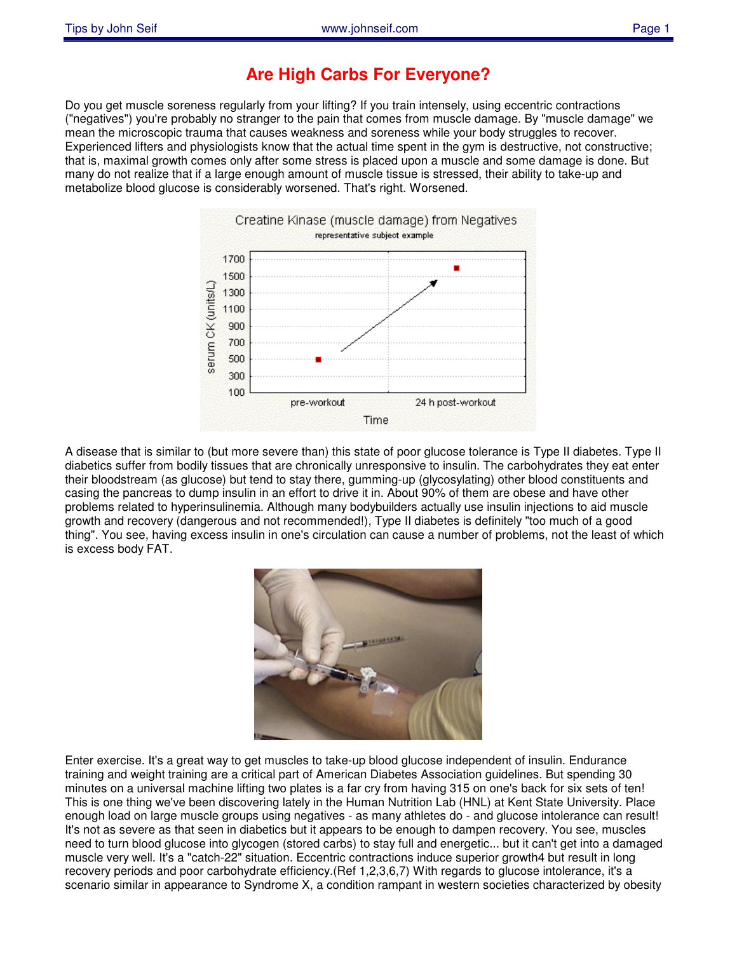## **Are High Carbs For Everyone?**

Do you get muscle soreness regularly from your lifting? If you train intensely, using eccentric contractions ("negatives") you're probably no stranger to the pain that comes from muscle damage. By "muscle damage" we mean the microscopic trauma that causes weakness and soreness while your body struggles to recover. Experienced lifters and physiologists know that the actual time spent in the gym is destructive, not constructive; that is, maximal growth comes only after some stress is placed upon a muscle and some damage is done. But many do not realize that if a large enough amount of muscle tissue is stressed, their ability to take-up and metabolize blood glucose is considerably worsened. That's right. Worsened.



A disease that is similar to (but more severe than) this state of poor glucose tolerance is Type II diabetes. Type II diabetics suffer from bodily tissues that are chronically unresponsive to insulin. The carbohydrates they eat enter their bloodstream (as glucose) but tend to stay there, gumming-up (glycosylating) other blood constituents and casing the pancreas to dump insulin in an effort to drive it in. About 90% of them are obese and have other problems related to hyperinsulinemia. Although many bodybuilders actually use insulin injections to aid muscle growth and recovery (dangerous and not recommended!), Type II diabetes is definitely "too much of a good thing". You see, having excess insulin in one's circulation can cause a number of problems, not the least of which is excess body FAT.



Enter exercise. It's a great way to get muscles to take-up blood glucose independent of insulin. Endurance training and weight training are a critical part of American Diabetes Association guidelines. But spending 30 minutes on a universal machine lifting two plates is a far cry from having 315 on one's back for six sets of ten! This is one thing we've been discovering lately in the Human Nutrition Lab (HNL) at Kent State University. Place enough load on large muscle groups using negatives - as many athletes do - and glucose intolerance can result! It's not as severe as that seen in diabetics but it appears to be enough to dampen recovery. You see, muscles need to turn blood glucose into glycogen (stored carbs) to stay full and energetic... but it can't get into a damaged muscle very well. It's a "catch-22" situation. Eccentric contractions induce superior growth4 but result in long recovery periods and poor carbohydrate efficiency.(Ref 1,2,3,6,7) With regards to glucose intolerance, it's a scenario similar in appearance to Syndrome X, a condition rampant in western societies characterized by obesity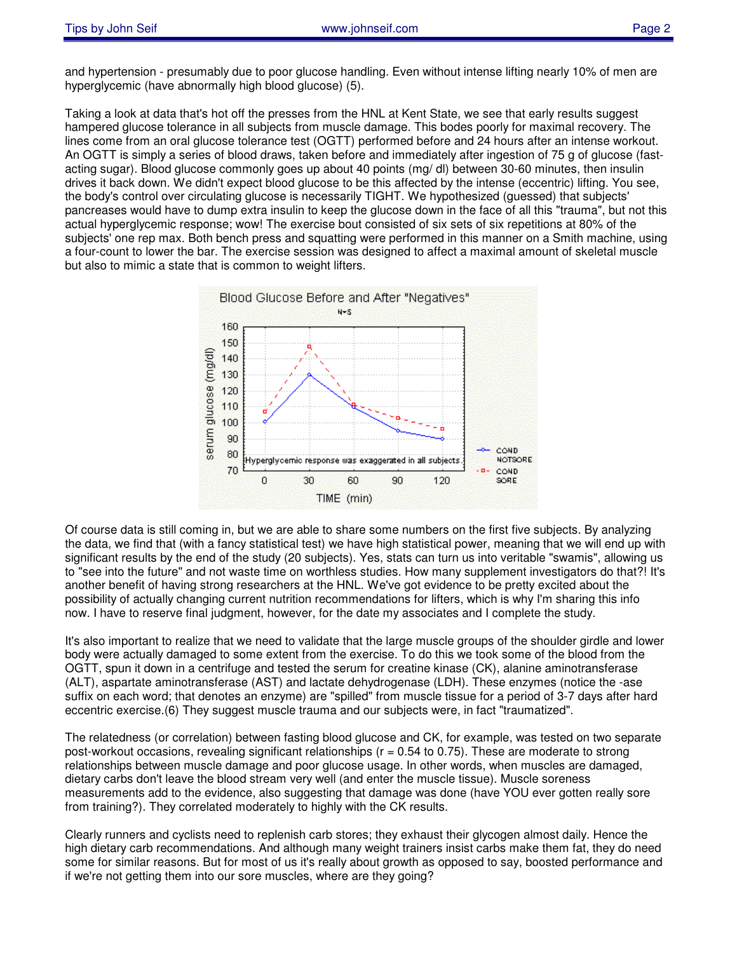and hypertension - presumably due to poor glucose handling. Even without intense lifting nearly 10% of men are hyperglycemic (have abnormally high blood glucose) (5).

Taking a look at data that's hot off the presses from the HNL at Kent State, we see that early results suggest hampered glucose tolerance in all subjects from muscle damage. This bodes poorly for maximal recovery. The lines come from an oral glucose tolerance test (OGTT) performed before and 24 hours after an intense workout. An OGTT is simply a series of blood draws, taken before and immediately after ingestion of 75 g of glucose (fastacting sugar). Blood glucose commonly goes up about 40 points (mg/ dl) between 30-60 minutes, then insulin drives it back down. We didn't expect blood glucose to be this affected by the intense (eccentric) lifting. You see, the body's control over circulating glucose is necessarily TIGHT. We hypothesized (guessed) that subjects' pancreases would have to dump extra insulin to keep the glucose down in the face of all this "trauma", but not this actual hyperglycemic response; wow! The exercise bout consisted of six sets of six repetitions at 80% of the subjects' one rep max. Both bench press and squatting were performed in this manner on a Smith machine, using a four-count to lower the bar. The exercise session was designed to affect a maximal amount of skeletal muscle but also to mimic a state that is common to weight lifters.



Of course data is still coming in, but we are able to share some numbers on the first five subjects. By analyzing the data, we find that (with a fancy statistical test) we have high statistical power, meaning that we will end up with significant results by the end of the study (20 subjects). Yes, stats can turn us into veritable "swamis", allowing us to "see into the future" and not waste time on worthless studies. How many supplement investigators do that?! It's another benefit of having strong researchers at the HNL. We've got evidence to be pretty excited about the possibility of actually changing current nutrition recommendations for lifters, which is why I'm sharing this info now. I have to reserve final judgment, however, for the date my associates and I complete the study.

It's also important to realize that we need to validate that the large muscle groups of the shoulder girdle and lower body were actually damaged to some extent from the exercise. To do this we took some of the blood from the OGTT, spun it down in a centrifuge and tested the serum for creatine kinase (CK), alanine aminotransferase (ALT), aspartate aminotransferase (AST) and lactate dehydrogenase (LDH). These enzymes (notice the -ase suffix on each word; that denotes an enzyme) are "spilled" from muscle tissue for a period of 3-7 days after hard eccentric exercise.(6) They suggest muscle trauma and our subjects were, in fact "traumatized".

The relatedness (or correlation) between fasting blood glucose and CK, for example, was tested on two separate post-workout occasions, revealing significant relationships ( $r = 0.54$  to 0.75). These are moderate to strong relationships between muscle damage and poor glucose usage. In other words, when muscles are damaged, dietary carbs don't leave the blood stream very well (and enter the muscle tissue). Muscle soreness measurements add to the evidence, also suggesting that damage was done (have YOU ever gotten really sore from training?). They correlated moderately to highly with the CK results.

Clearly runners and cyclists need to replenish carb stores; they exhaust their glycogen almost daily. Hence the high dietary carb recommendations. And although many weight trainers insist carbs make them fat, they do need some for similar reasons. But for most of us it's really about growth as opposed to say, boosted performance and if we're not getting them into our sore muscles, where are they going?